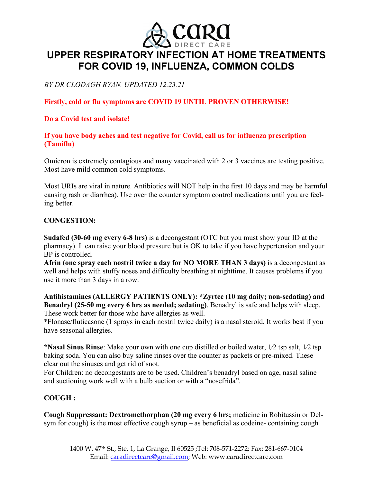

# **UPPER RESPIRATORY INFECTION AT HOME TREATMENTS FOR COVID 19, INFLUENZA, COMMON COLDS**

*BY DR CLODAGH RYAN. UPDATED 12.23.21*

# **Firstly, cold or flu symptoms are COVID 19 UNTIL PROVEN OTHERWISE!**

# **Do a Covid test and isolate!**

## **If you have body aches and test negative for Covid, call us for influenza prescription (Tamiflu)**

Omicron is extremely contagious and many vaccinated with 2 or 3 vaccines are testing positive. Most have mild common cold symptoms.

Most URIs are viral in nature. Antibiotics will NOT help in the first 10 days and may be harmful causing rash or diarrhea). Use over the counter symptom control medications until you are feeling better.

## **CONGESTION:**

**Sudafed (30-60 mg every 6-8 hrs)** is a decongestant (OTC but you must show your ID at the pharmacy). It can raise your blood pressure but is OK to take if you have hypertension and your BP is controlled.

**Afrin (one spray each nostril twice a day for NO MORE THAN 3 days)** is a decongestant as well and helps with stuffy noses and difficulty breathing at nighttime. It causes problems if you use it more than 3 days in a row.

**Antihistamines (ALLERGY PATIENTS ONLY): \*Zyrtec (10 mg daily; non-sedating) and Benadryl (25-50 mg every 6 hrs as needed; sedating)**. Benadryl is safe and helps with sleep. These work better for those who have allergies as well.

\*Flonase/fluticasone (1 sprays in each nostril twice daily) is a nasal steroid. It works best if you have seasonal allergies.

**\*Nasal Sinus Rinse**: Make your own with one cup distilled or boiled water, 1⁄2 tsp salt, 1⁄2 tsp baking soda. You can also buy saline rinses over the counter as packets or pre-mixed. These clear out the sinuses and get rid of snot.

For Children: no decongestants are to be used. Children's benadryl based on age, nasal saline and suctioning work well with a bulb suction or with a "nosefrida".

# **COUGH :**

**Cough Suppressant: Dextromethorphan (20 mg every 6 hrs;** medicine in Robitussin or Delsym for cough) is the most effective cough syrup – as beneficial as codeine- containing cough